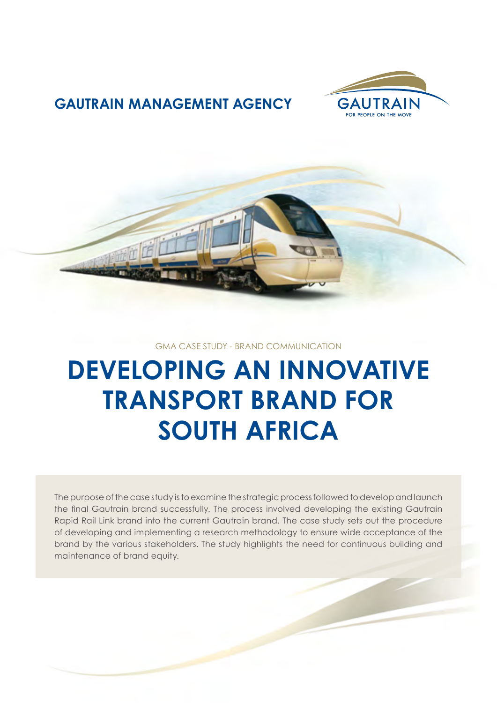

### **GAUTRAIN MANAGEMENT AGENCY**



#### GMA CASE STUDY - BRAND COMMUNICATION

# **DEVELOPING AN INNOVATIVE TRANSPORT BRAND FOR SOUTH AFRICA**

The purpose of the case study is to examine the strategic process followed to develop and launch the final Gautrain brand successfully. The process involved developing the existing Gautrain Rapid Rail Link brand into the current Gautrain brand. The case study sets out the procedure of developing and implementing a research methodology to ensure wide acceptance of the brand by the various stakeholders. The study highlights the need for continuous building and maintenance of brand equity.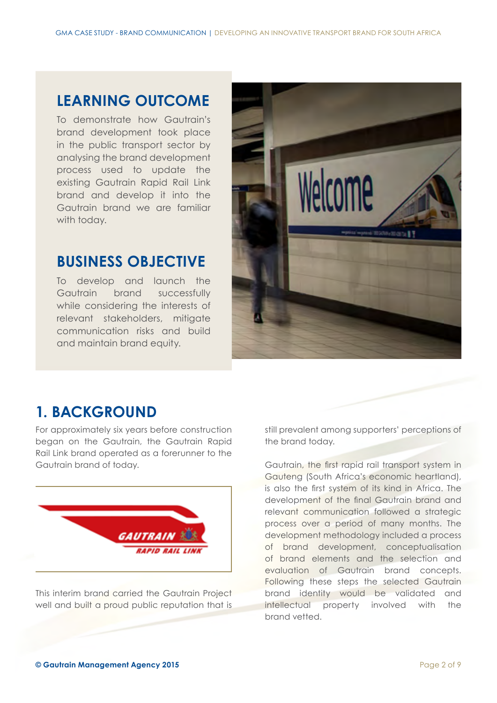### **LEARNING OUTCOME**

To demonstrate how Gautrain's brand development took place in the public transport sector by analysing the brand development process used to update the existing Gautrain Rapid Rail Link brand and develop it into the Gautrain brand we are familiar with today.

#### **BUSINESS OBJECTIVE**

To develop and launch the Gautrain brand successfully while considering the interests of relevant stakeholders, mitigate communication risks and build and maintain brand equity.



### **1. BACKGROUND**

For approximately six years before construction began on the Gautrain, the Gautrain Rapid Rail Link brand operated as a forerunner to the Gautrain brand of today.



This interim brand carried the Gautrain Project well and built a proud public reputation that is still prevalent among supporters' perceptions of the brand today.

Gautrain, the first rapid rail transport system in Gauteng (South Africa's economic heartland), is also the first system of its kind in Africa. The development of the final Gautrain brand and relevant communication followed a strategic process over a period of many months. The development methodology included a process of brand development, conceptualisation of brand elements and the selection and evaluation of Gautrain brand concepts. Following these steps the selected Gautrain brand identity would be validated and intellectual property involved with the brand vetted.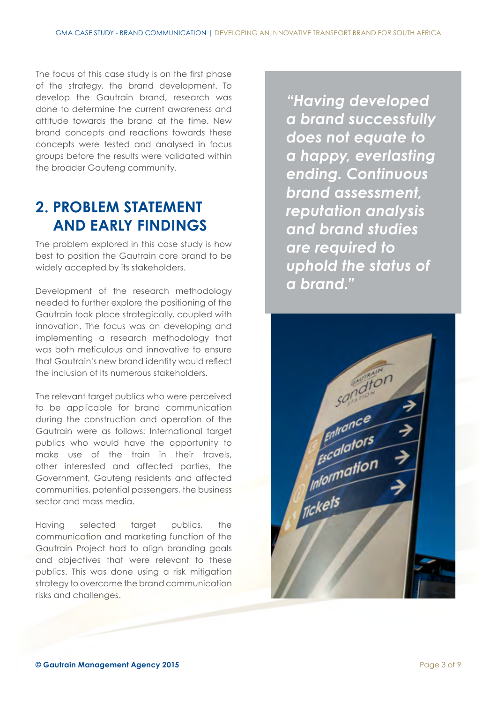The focus of this case study is on the first phase of the strategy, the brand development. To develop the Gautrain brand, research was done to determine the current awareness and attitude towards the brand at the time. New brand concepts and reactions towards these concepts were tested and analysed in focus groups before the results were validated within the broader Gauteng community.

## **2. PROBLEM STATEMENT AND EARLY FINDINGS**

The problem explored in this case study is how best to position the Gautrain core brand to be widely accepted by its stakeholders.

Development of the research methodology needed to further explore the positioning of the Gautrain took place strategically, coupled with innovation. The focus was on developing and implementing a research methodology that was both meticulous and innovative to ensure that Gautrain's new brand identity would reflect the inclusion of its numerous stakeholders.

The relevant target publics who were perceived to be applicable for brand communication during the construction and operation of the Gautrain were as follows: International target publics who would have the opportunity to make use of the train in their travels, other interested and affected parties, the Government, Gauteng residents and affected communities, potential passengers, the business sector and mass media.

Having selected target publics, the communication and marketing function of the Gautrain Project had to align branding goals and objectives that were relevant to these publics. This was done using a risk mitigation strategy to overcome the brand communication risks and challenges.

*"Having developed a brand successfully does not equate to a happy, everlasting ending. Continuous brand assessment, reputation analysis and brand studies are required to uphold the status of a brand."*

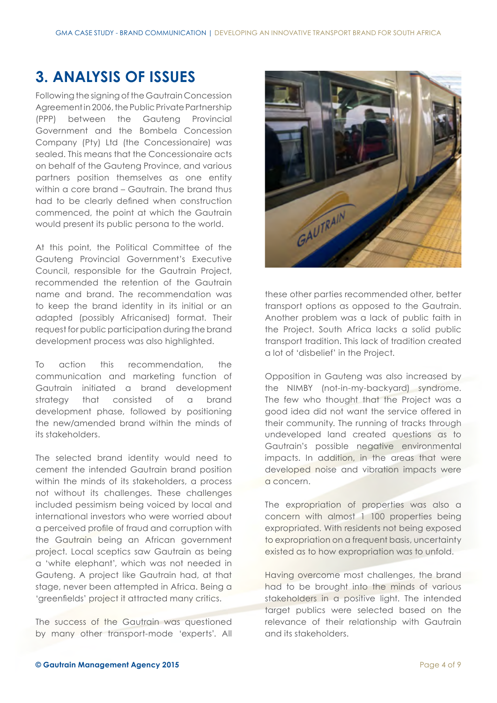# **3. ANALYSIS OF ISSUES**

Following the signing of the Gautrain Concession Agreement in 2006, the Public Private Partnership (PPP) between the Gauteng Provincial Government and the Bombela Concession Company (Pty) Ltd (the Concessionaire) was sealed. This means that the Concessionaire acts on behalf of the Gauteng Province, and various partners position themselves as one entity within a core brand – Gautrain. The brand thus had to be clearly defined when construction commenced, the point at which the Gautrain would present its public persona to the world.

At this point, the Political Committee of the Gauteng Provincial Government's Executive Council, responsible for the Gautrain Project, recommended the retention of the Gautrain name and brand. The recommendation was to keep the brand identity in its initial or an adapted (possibly Africanised) format. Their request for public participation during the brand development process was also highlighted.

To action this recommendation, the communication and marketing function of Gautrain initiated a brand development strategy that consisted of a brand development phase, followed by positioning the new/amended brand within the minds of its stakeholders.

The selected brand identity would need to cement the intended Gautrain brand position within the minds of its stakeholders, a process not without its challenges. These challenges included pessimism being voiced by local and international investors who were worried about a perceived profile of fraud and corruption with the Gautrain being an African government project. Local sceptics saw Gautrain as being a 'white elephant', which was not needed in Gauteng. A project like Gautrain had, at that stage, never been attempted in Africa. Being a 'greenfields' project it attracted many critics.

The success of the Gautrain was questioned by many other transport-mode 'experts'. All



these other parties recommended other, better transport options as opposed to the Gautrain. Another problem was a lack of public faith in the Project. South Africa lacks a solid public transport tradition. This lack of tradition created a lot of 'disbelief' in the Project.

Opposition in Gauteng was also increased by the NIMBY (not-in-my-backyard) syndrome. The few who thought that the Project was a good idea did not want the service offered in their community. The running of tracks through undeveloped land created questions as to Gautrain's possible negative environmental impacts. In addition, in the areas that were developed noise and vibration impacts were a concern.

The expropriation of properties was also a concern with almost 1 100 properties being expropriated. With residents not being exposed to expropriation on a frequent basis, uncertainty existed as to how expropriation was to unfold.

Having overcome most challenges, the brand had to be brought into the minds of various stakeholders in a positive light. The intended target publics were selected based on the relevance of their relationship with Gautrain and its stakeholders.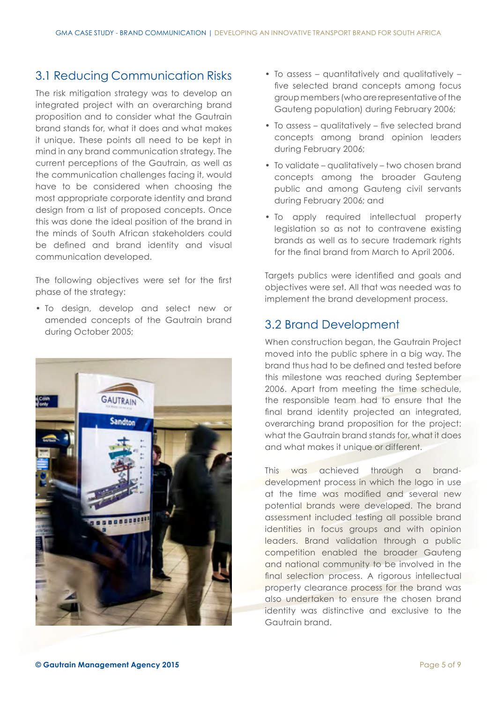#### 3.1 Reducing Communication Risks

The risk mitigation strategy was to develop an integrated project with an overarching brand proposition and to consider what the Gautrain brand stands for, what it does and what makes it unique. These points all need to be kept in mind in any brand communication strategy. The current perceptions of the Gautrain, as well as the communication challenges facing it, would have to be considered when choosing the most appropriate corporate identity and brand design from a list of proposed concepts. Once this was done the ideal position of the brand in the minds of South African stakeholders could be defined and brand identity and visual communication developed.

The following objectives were set for the first phase of the strategy:

• To design, develop and select new or amended concepts of the Gautrain brand during October 2005;



- To assess quantitatively and qualitatively five selected brand concepts among focus group members (who are representative of the Gauteng population) during February 2006;
- To assess qualitatively five selected brand concepts among brand opinion leaders during February 2006;
- To validate qualitatively two chosen brand concepts among the broader Gauteng public and among Gauteng civil servants during February 2006; and
- To apply required intellectual property legislation so as not to contravene existing brands as well as to secure trademark rights for the final brand from March to April 2006.

Targets publics were identified and goals and objectives were set. All that was needed was to implement the brand development process.

#### 3.2 Brand Development

When construction began, the Gautrain Project moved into the public sphere in a big way. The brand thus had to be defined and tested before this milestone was reached during September 2006. Apart from meeting the time schedule, the responsible team had to ensure that the final brand identity projected an integrated, overarching brand proposition for the project: what the Gautrain brand stands for, what it does and what makes it unique or different.

This was achieved through a branddevelopment process in which the logo in use at the time was modified and several new potential brands were developed. The brand assessment included testing all possible brand identities in focus groups and with opinion leaders. Brand validation through a public competition enabled the broader Gauteng and national community to be involved in the final selection process. A rigorous intellectual property clearance process for the brand was also undertaken to ensure the chosen brand identity was distinctive and exclusive to the Gautrain brand.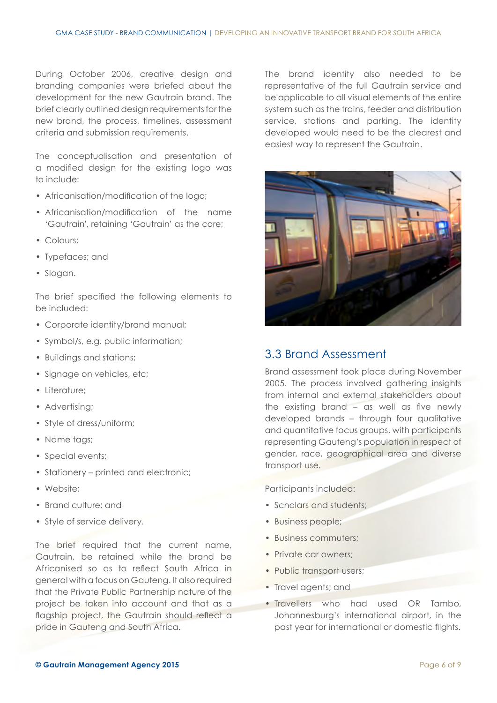During October 2006, creative design and branding companies were briefed about the development for the new Gautrain brand. The brief clearly outlined design requirements for the new brand, the process, timelines, assessment criteria and submission requirements.

The conceptualisation and presentation of a modified design for the existing logo was to include:

- Africanisation/modification of the logo;
- Africanisation/modification of the name 'Gautrain', retaining 'Gautrain' as the core;
- Colours;
- Typefaces; and
- Slogan.

The brief specified the following elements to be included:

- Corporate identity/brand manual;
- Symbol/s, e.g. public information;
- Buildings and stations;
- Signage on vehicles, etc;
- Literature;
- Advertising;
- Style of dress/uniform;
- Name tags:
- Special events;
- Stationery printed and electronic;
- Website;
- Brand culture; and
- Style of service delivery.

The brief required that the current name, Gautrain, be retained while the brand be Africanised so as to reflect South Africa in general with a focus on Gauteng. It also required that the Private Public Partnership nature of the project be taken into account and that as a flagship project, the Gautrain should reflect a pride in Gauteng and South Africa.

The brand identity also needed to be representative of the full Gautrain service and be applicable to all visual elements of the entire system such as the trains, feeder and distribution service, stations and parking. The identity developed would need to be the clearest and easiest way to represent the Gautrain.



#### 3.3 Brand Assessment

Brand assessment took place during November 2005. The process involved gathering insights from internal and external stakeholders about the existing brand – as well as five newly developed brands – through four qualitative and quantitative focus groups, with participants representing Gauteng's population in respect of gender, race, geographical area and diverse transport use.

Participants included:

- Scholars and students;
- Business people;
- Business commuters;
- Private car owners:
- Public transport users;
- Travel agents; and
- Travellers who had used OR Tambo, Johannesburg's international airport, in the past year for international or domestic flights.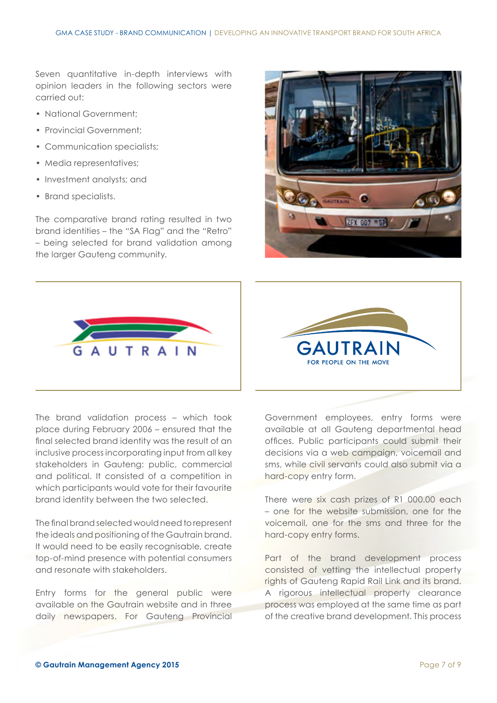Seven quantitative in-depth interviews with opinion leaders in the following sectors were carried out:

- National Government;
- Provincial Government;
- Communication specialists;
- Media representatives;
- Investment analysts; and
- Brand specialists.

The comparative brand rating resulted in two brand identities – the "SA Flag" and the "Retro" – being selected for brand validation among the larger Gauteng community.





The brand validation process – which took place during February 2006 – ensured that the final selected brand identity was the result of an inclusive process incorporating input from all key stakeholders in Gauteng: public, commercial and political. It consisted of a competition in which participants would vote for their favourite brand identity between the two selected.

The final brand selected would need to represent the ideals and positioning of the Gautrain brand. It would need to be easily recognisable, create top-of-mind presence with potential consumers and resonate with stakeholders.

Entry forms for the general public were available on the Gautrain website and in three daily newspapers. For Gauteng Provincial Government employees, entry forms were available at all Gauteng departmental head offices. Public participants could submit their decisions via a web campaign, voicemail and sms, while civil servants could also submit via a hard-copy entry form.

**GAUTRAIN** 

**FOR PEOPLE ON THE MOVE** 

There were six cash prizes of R1 000.00 each – one for the website submission, one for the voicemail, one for the sms and three for the hard-copy entry forms.

Part of the brand development process consisted of vetting the intellectual property rights of Gauteng Rapid Rail Link and its brand. A rigorous intellectual property clearance process was employed at the same time as part of the creative brand development. This process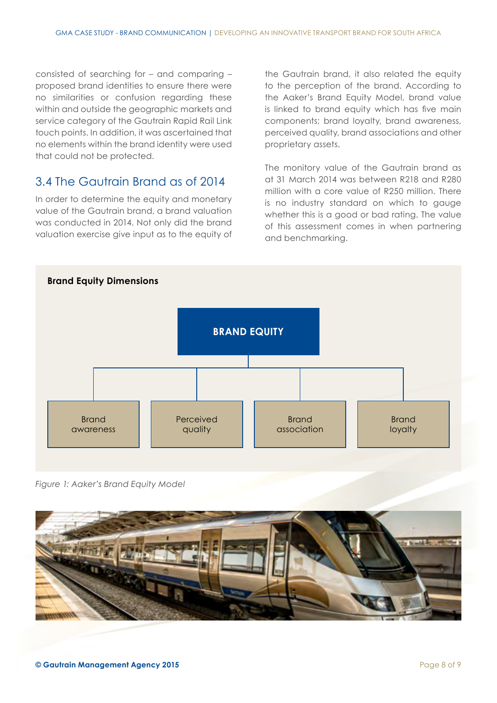consisted of searching for – and comparing – proposed brand identities to ensure there were no similarities or confusion regarding these within and outside the geographic markets and service category of the Gautrain Rapid Rail Link touch points. In addition, it was ascertained that no elements within the brand identity were used that could not be protected.

#### 3.4 The Gautrain Brand as of 2014

In order to determine the equity and monetary value of the Gautrain brand, a brand valuation was conducted in 2014. Not only did the brand valuation exercise give input as to the equity of the Gautrain brand, it also related the equity to the perception of the brand. According to the Aaker's Brand Equity Model, brand value is linked to brand equity which has five main components; brand loyalty, brand awareness, perceived quality, brand associations and other proprietary assets.

The monitory value of the Gautrain brand as at 31 March 2014 was between R218 and R280 million with a core value of R250 million. There is no industry standard on which to gauge whether this is a good or bad rating. The value of this assessment comes in when partnering and benchmarking.



*Figure 1: Aaker's Brand Equity Model*